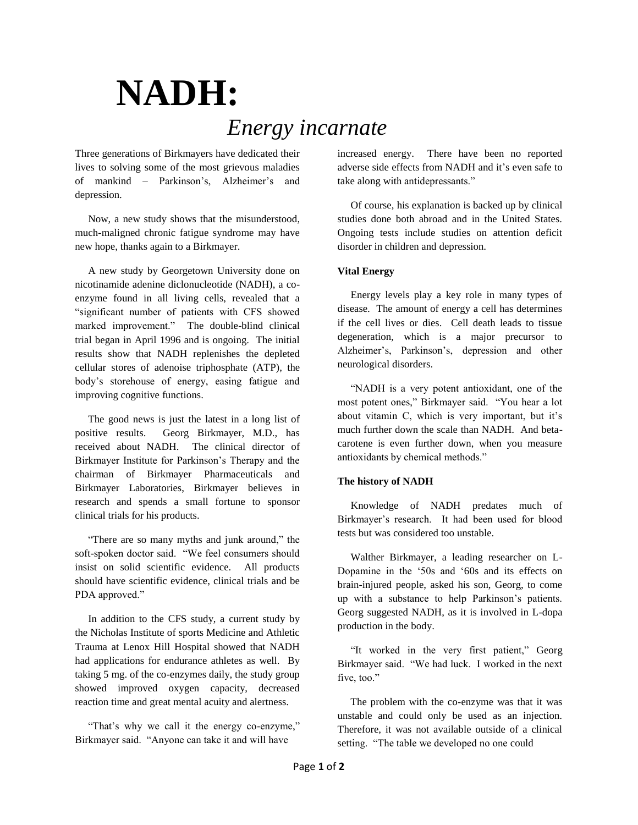# **NADH:** *Energy incarnate*

Three generations of Birkmayers have dedicated their lives to solving some of the most grievous maladies of mankind – Parkinson's, Alzheimer's and depression.

 Now, a new study shows that the misunderstood, much-maligned chronic fatigue syndrome may have new hope, thanks again to a Birkmayer.

 A new study by Georgetown University done on nicotinamide adenine diclonucleotide (NADH), a coenzyme found in all living cells, revealed that a "significant number of patients with CFS showed marked improvement." The double-blind clinical trial began in April 1996 and is ongoing. The initial results show that NADH replenishes the depleted cellular stores of adenoise triphosphate (ATP), the body's storehouse of energy, easing fatigue and improving cognitive functions.

 The good news is just the latest in a long list of positive results. Georg Birkmayer, M.D., has received about NADH. The clinical director of Birkmayer Institute for Parkinson's Therapy and the chairman of Birkmayer Pharmaceuticals and Birkmayer Laboratories, Birkmayer believes in research and spends a small fortune to sponsor clinical trials for his products.

 "There are so many myths and junk around," the soft-spoken doctor said. "We feel consumers should insist on solid scientific evidence. All products should have scientific evidence, clinical trials and be PDA approved."

 In addition to the CFS study, a current study by the Nicholas Institute of sports Medicine and Athletic Trauma at Lenox Hill Hospital showed that NADH had applications for endurance athletes as well. By taking 5 mg. of the co-enzymes daily, the study group showed improved oxygen capacity, decreased reaction time and great mental acuity and alertness.

 "That's why we call it the energy co-enzyme," Birkmayer said. "Anyone can take it and will have

increased energy. There have been no reported adverse side effects from NADH and it's even safe to take along with antidepressants."

 Of course, his explanation is backed up by clinical studies done both abroad and in the United States. Ongoing tests include studies on attention deficit disorder in children and depression.

# **Vital Energy**

 Energy levels play a key role in many types of disease. The amount of energy a cell has determines if the cell lives or dies. Cell death leads to tissue degeneration, which is a major precursor to Alzheimer's, Parkinson's, depression and other neurological disorders.

 "NADH is a very potent antioxidant, one of the most potent ones," Birkmayer said. "You hear a lot about vitamin C, which is very important, but it's much further down the scale than NADH. And betacarotene is even further down, when you measure antioxidants by chemical methods."

# **The history of NADH**

 Knowledge of NADH predates much of Birkmayer's research. It had been used for blood tests but was considered too unstable.

 Walther Birkmayer, a leading researcher on L-Dopamine in the '50s and '60s and its effects on brain-injured people, asked his son, Georg, to come up with a substance to help Parkinson's patients. Georg suggested NADH, as it is involved in L-dopa production in the body.

 "It worked in the very first patient," Georg Birkmayer said. "We had luck. I worked in the next five, too."

 The problem with the co-enzyme was that it was unstable and could only be used as an injection. Therefore, it was not available outside of a clinical setting. "The table we developed no one could